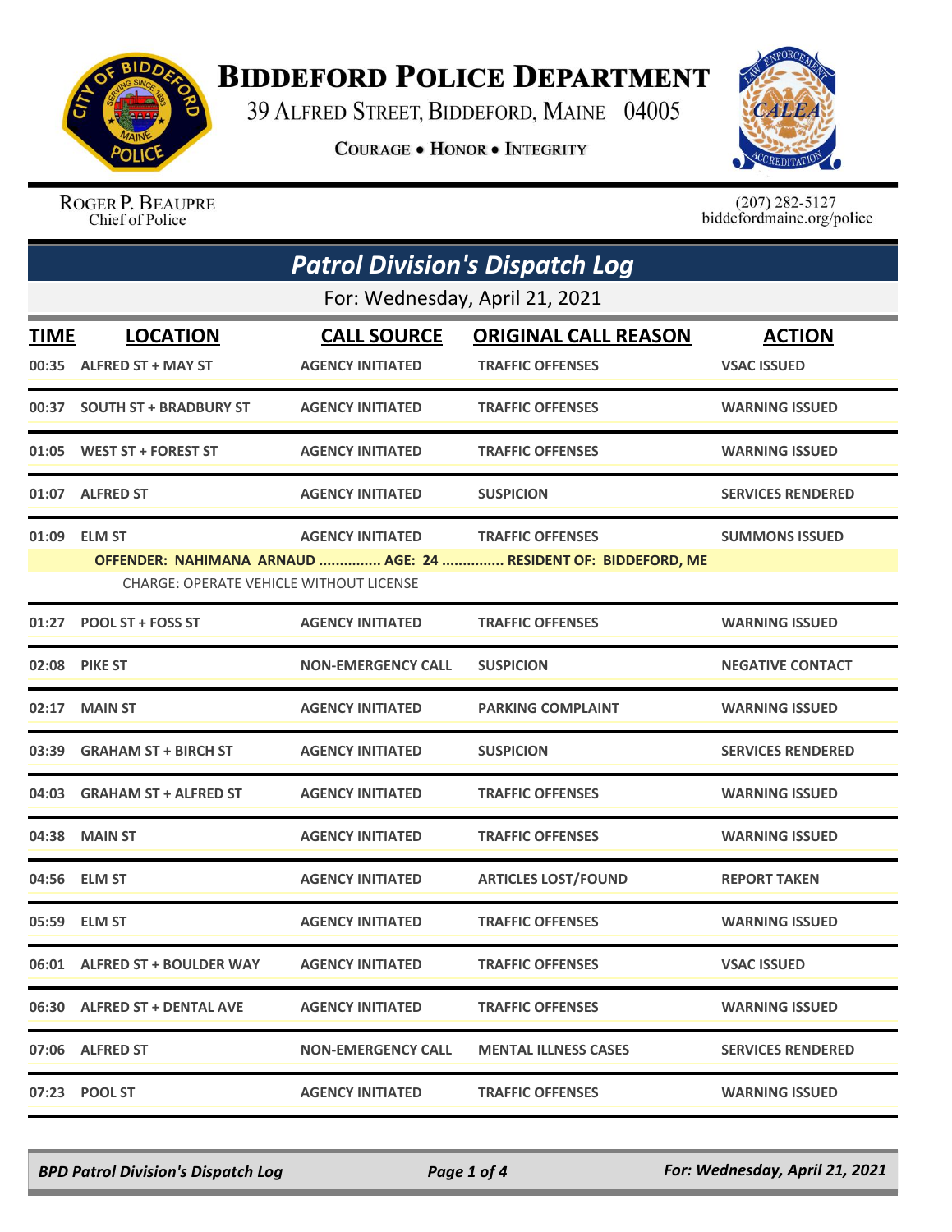

## **BIDDEFORD POLICE DEPARTMENT**

39 ALFRED STREET, BIDDEFORD, MAINE 04005

**COURAGE . HONOR . INTEGRITY** 



ROGER P. BEAUPRE Chief of Police

 $(207)$  282-5127<br>biddefordmaine.org/police

|             | <b>Patrol Division's Dispatch Log</b>          |                           |                                                                                           |                          |  |
|-------------|------------------------------------------------|---------------------------|-------------------------------------------------------------------------------------------|--------------------------|--|
|             | For: Wednesday, April 21, 2021                 |                           |                                                                                           |                          |  |
| <b>TIME</b> | <b>LOCATION</b>                                | <b>CALL SOURCE</b>        | <b>ORIGINAL CALL REASON</b>                                                               | <b>ACTION</b>            |  |
|             | 00:35 ALFRED ST + MAY ST                       | <b>AGENCY INITIATED</b>   | <b>TRAFFIC OFFENSES</b>                                                                   | <b>VSAC ISSUED</b>       |  |
|             | 00:37 SOUTH ST + BRADBURY ST                   | <b>AGENCY INITIATED</b>   | <b>TRAFFIC OFFENSES</b>                                                                   | <b>WARNING ISSUED</b>    |  |
| 01:05       | <b>WEST ST + FOREST ST</b>                     | <b>AGENCY INITIATED</b>   | <b>TRAFFIC OFFENSES</b>                                                                   | <b>WARNING ISSUED</b>    |  |
|             | 01:07 ALFRED ST                                | <b>AGENCY INITIATED</b>   | <b>SUSPICION</b>                                                                          | <b>SERVICES RENDERED</b> |  |
|             | 01:09 ELM ST                                   | <b>AGENCY INITIATED</b>   | <b>TRAFFIC OFFENSES</b><br>OFFENDER: NAHIMANA ARNAUD  AGE: 24  RESIDENT OF: BIDDEFORD, ME | <b>SUMMONS ISSUED</b>    |  |
|             | <b>CHARGE: OPERATE VEHICLE WITHOUT LICENSE</b> |                           |                                                                                           |                          |  |
|             | 01:27 POOL ST + FOSS ST                        | <b>AGENCY INITIATED</b>   | <b>TRAFFIC OFFENSES</b>                                                                   | <b>WARNING ISSUED</b>    |  |
| 02:08       | <b>PIKE ST</b>                                 | <b>NON-EMERGENCY CALL</b> | <b>SUSPICION</b>                                                                          | <b>NEGATIVE CONTACT</b>  |  |
| 02:17       | <b>MAIN ST</b>                                 | <b>AGENCY INITIATED</b>   | <b>PARKING COMPLAINT</b>                                                                  | <b>WARNING ISSUED</b>    |  |
| 03:39       | <b>GRAHAM ST + BIRCH ST</b>                    | <b>AGENCY INITIATED</b>   | <b>SUSPICION</b>                                                                          | <b>SERVICES RENDERED</b> |  |
|             | 04:03 GRAHAM ST + ALFRED ST                    | <b>AGENCY INITIATED</b>   | <b>TRAFFIC OFFENSES</b>                                                                   | <b>WARNING ISSUED</b>    |  |
| 04:38       | <b>MAIN ST</b>                                 | <b>AGENCY INITIATED</b>   | <b>TRAFFIC OFFENSES</b>                                                                   | <b>WARNING ISSUED</b>    |  |
| 04:56       | <b>ELM ST</b>                                  | <b>AGENCY INITIATED</b>   | <b>ARTICLES LOST/FOUND</b>                                                                | <b>REPORT TAKEN</b>      |  |
|             | 05:59 ELM ST                                   | <b>AGENCY INITIATED</b>   | <b>TRAFFIC OFFENSES</b>                                                                   | <b>WARNING ISSUED</b>    |  |
|             | 06:01 ALFRED ST + BOULDER WAY                  | <b>AGENCY INITIATED</b>   | <b>TRAFFIC OFFENSES</b>                                                                   | <b>VSAC ISSUED</b>       |  |
|             | 06:30 ALFRED ST + DENTAL AVE                   | <b>AGENCY INITIATED</b>   | <b>TRAFFIC OFFENSES</b>                                                                   | <b>WARNING ISSUED</b>    |  |
|             | 07:06 ALFRED ST                                | <b>NON-EMERGENCY CALL</b> | <b>MENTAL ILLNESS CASES</b>                                                               | <b>SERVICES RENDERED</b> |  |
|             | 07:23 POOL ST                                  | <b>AGENCY INITIATED</b>   | <b>TRAFFIC OFFENSES</b>                                                                   | <b>WARNING ISSUED</b>    |  |

*BPD Patrol Division's Dispatch Log Page 1 of 4 For: Wednesday, April 21, 2021*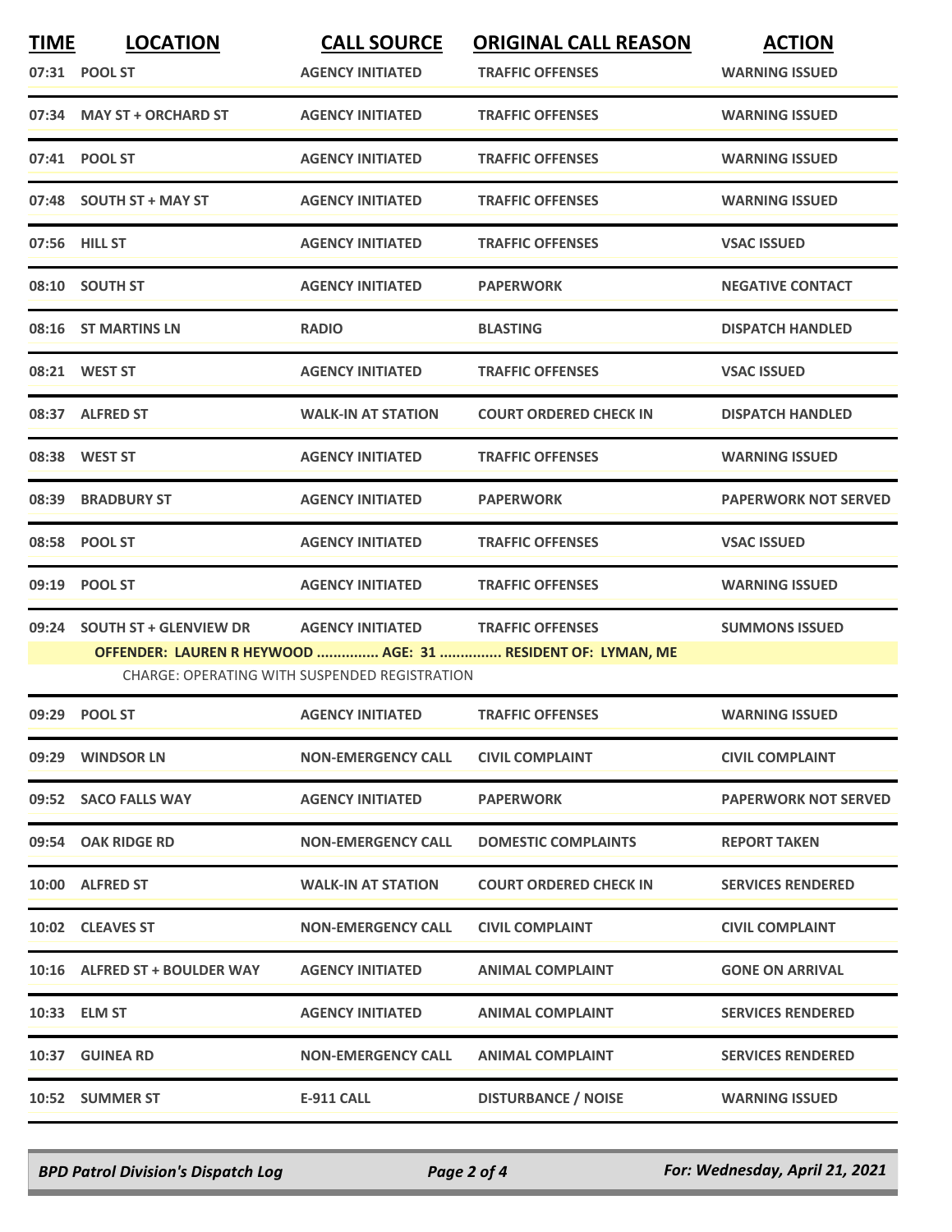| <b>TIME</b> | <b>LOCATION</b><br>07:31 POOL ST | <b>CALL SOURCE</b><br><b>AGENCY INITIATED</b>                            | <b>ORIGINAL CALL REASON</b><br><b>TRAFFIC OFFENSES</b>                                 | <b>ACTION</b><br><b>WARNING ISSUED</b> |
|-------------|----------------------------------|--------------------------------------------------------------------------|----------------------------------------------------------------------------------------|----------------------------------------|
|             | 07:34 MAY ST + ORCHARD ST        | <b>AGENCY INITIATED</b>                                                  | <b>TRAFFIC OFFENSES</b>                                                                | <b>WARNING ISSUED</b>                  |
|             | 07:41 POOL ST                    | <b>AGENCY INITIATED</b>                                                  | <b>TRAFFIC OFFENSES</b>                                                                | <b>WARNING ISSUED</b>                  |
|             | 07:48 SOUTH ST + MAY ST          | <b>AGENCY INITIATED</b>                                                  | <b>TRAFFIC OFFENSES</b>                                                                | <b>WARNING ISSUED</b>                  |
|             | 07:56 HILL ST                    | <b>AGENCY INITIATED</b>                                                  | <b>TRAFFIC OFFENSES</b>                                                                | <b>VSAC ISSUED</b>                     |
|             | 08:10 SOUTH ST                   | <b>AGENCY INITIATED</b>                                                  | <b>PAPERWORK</b>                                                                       | <b>NEGATIVE CONTACT</b>                |
|             | 08:16 ST MARTINS LN              | <b>RADIO</b>                                                             | <b>BLASTING</b>                                                                        | <b>DISPATCH HANDLED</b>                |
|             | 08:21 WEST ST                    | <b>AGENCY INITIATED</b>                                                  | <b>TRAFFIC OFFENSES</b>                                                                | <b>VSAC ISSUED</b>                     |
|             | 08:37 ALFRED ST                  | <b>WALK-IN AT STATION</b>                                                | <b>COURT ORDERED CHECK IN</b>                                                          | <b>DISPATCH HANDLED</b>                |
|             | 08:38 WEST ST                    | <b>AGENCY INITIATED</b>                                                  | <b>TRAFFIC OFFENSES</b>                                                                | <b>WARNING ISSUED</b>                  |
|             | 08:39 BRADBURY ST                | <b>AGENCY INITIATED</b>                                                  | <b>PAPERWORK</b>                                                                       | <b>PAPERWORK NOT SERVED</b>            |
|             | 08:58 POOL ST                    | <b>AGENCY INITIATED</b>                                                  | <b>TRAFFIC OFFENSES</b>                                                                | <b>VSAC ISSUED</b>                     |
|             | 09:19 POOL ST                    | <b>AGENCY INITIATED</b>                                                  | <b>TRAFFIC OFFENSES</b>                                                                | <b>WARNING ISSUED</b>                  |
| 09:24       | <b>SOUTH ST + GLENVIEW DR</b>    | <b>AGENCY INITIATED</b><br>CHARGE: OPERATING WITH SUSPENDED REGISTRATION | <b>TRAFFIC OFFENSES</b><br>OFFENDER: LAUREN R HEYWOOD  AGE: 31  RESIDENT OF: LYMAN, ME | <b>SUMMONS ISSUED</b>                  |
|             | 09:29 POOL ST                    | <b>AGENCY INITIATED</b>                                                  | <b>TRAFFIC OFFENSES</b>                                                                | <b>WARNING ISSUED</b>                  |
|             | 09:29 WINDSOR LN                 | <b>NON-EMERGENCY CALL</b>                                                | <b>CIVIL COMPLAINT</b>                                                                 | <b>CIVIL COMPLAINT</b>                 |
|             | 09:52 SACO FALLS WAY             | <b>AGENCY INITIATED</b>                                                  | <b>PAPERWORK</b>                                                                       | <b>PAPERWORK NOT SERVED</b>            |
|             | 09:54 OAK RIDGE RD               | <b>NON-EMERGENCY CALL</b>                                                | <b>DOMESTIC COMPLAINTS</b>                                                             | <b>REPORT TAKEN</b>                    |
|             | 10:00 ALFRED ST                  | <b>WALK-IN AT STATION</b>                                                | <b>COURT ORDERED CHECK IN</b>                                                          | <b>SERVICES RENDERED</b>               |
|             | 10:02 CLEAVES ST                 | <b>NON-EMERGENCY CALL</b>                                                | <b>CIVIL COMPLAINT</b>                                                                 | <b>CIVIL COMPLAINT</b>                 |
|             | 10:16 ALFRED ST + BOULDER WAY    | <b>AGENCY INITIATED</b>                                                  | <b>ANIMAL COMPLAINT</b>                                                                | <b>GONE ON ARRIVAL</b>                 |
|             | 10:33 ELM ST                     | <b>AGENCY INITIATED</b>                                                  | <b>ANIMAL COMPLAINT</b>                                                                | <b>SERVICES RENDERED</b>               |
|             | 10:37 GUINEA RD                  | <b>NON-EMERGENCY CALL</b>                                                | <b>ANIMAL COMPLAINT</b>                                                                | <b>SERVICES RENDERED</b>               |
|             | 10:52 SUMMER ST                  | <b>E-911 CALL</b>                                                        | <b>DISTURBANCE / NOISE</b>                                                             | <b>WARNING ISSUED</b>                  |

*BPD Patrol Division's Dispatch Log Page 2 of 4 For: Wednesday, April 21, 2021*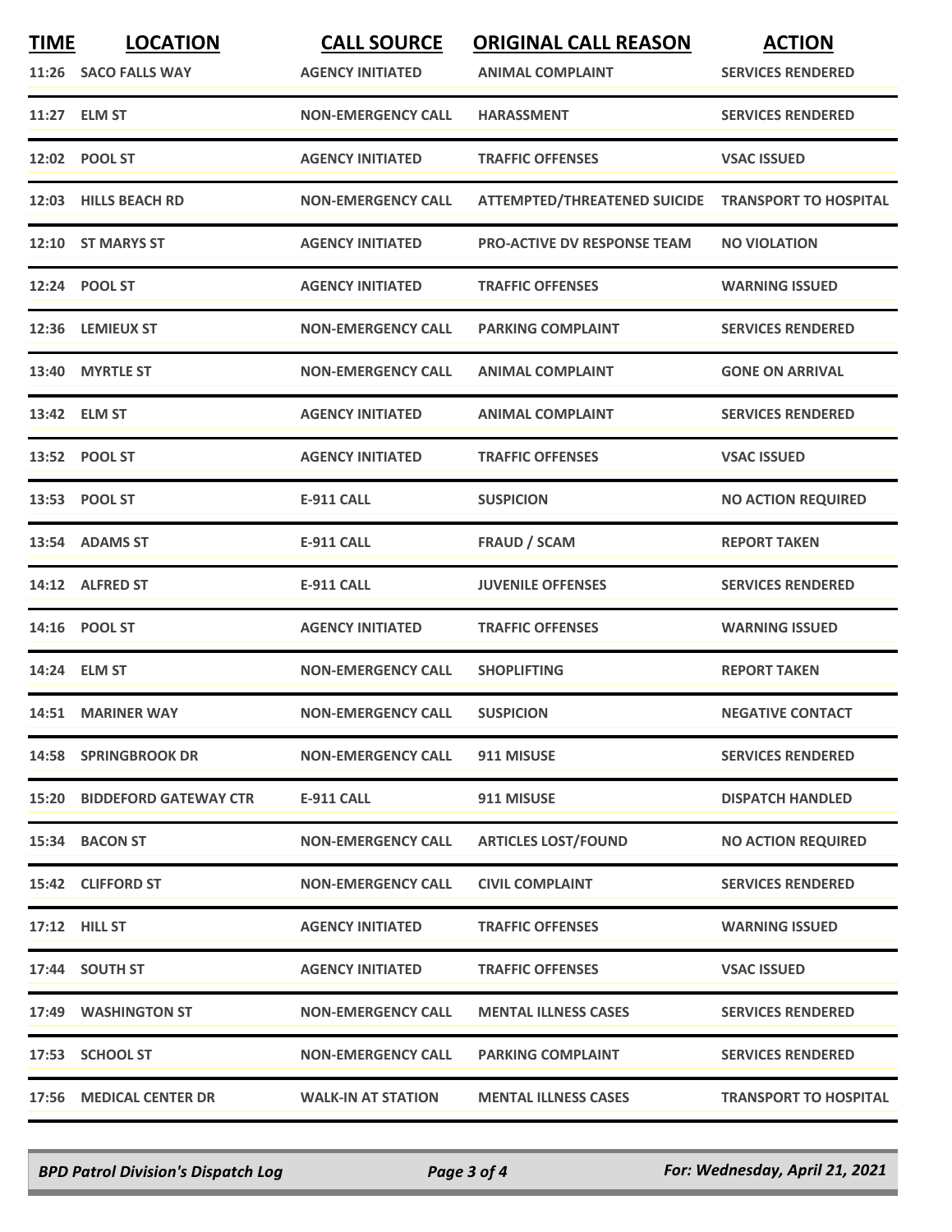| <b>TIME</b> | <b>LOCATION</b><br>11:26 SACO FALLS WAY | <b>CALL SOURCE</b><br><b>AGENCY INITIATED</b> | <b>ORIGINAL CALL REASON</b><br><b>ANIMAL COMPLAINT</b> | <b>ACTION</b><br><b>SERVICES RENDERED</b> |
|-------------|-----------------------------------------|-----------------------------------------------|--------------------------------------------------------|-------------------------------------------|
|             | 11:27 ELM ST                            | <b>NON-EMERGENCY CALL</b>                     | <b>HARASSMENT</b>                                      | <b>SERVICES RENDERED</b>                  |
|             | 12:02 POOL ST                           | <b>AGENCY INITIATED</b>                       | <b>TRAFFIC OFFENSES</b>                                | <b>VSAC ISSUED</b>                        |
|             | 12:03 HILLS BEACH RD                    | <b>NON-EMERGENCY CALL</b>                     | ATTEMPTED/THREATENED SUICIDE TRANSPORT TO HOSPITAL     |                                           |
|             | 12:10 ST MARYS ST                       | <b>AGENCY INITIATED</b>                       | <b>PRO-ACTIVE DV RESPONSE TEAM</b>                     | <b>NO VIOLATION</b>                       |
|             | 12:24 POOL ST                           | <b>AGENCY INITIATED</b>                       | <b>TRAFFIC OFFENSES</b>                                | <b>WARNING ISSUED</b>                     |
| 12:36       | <b>LEMIEUX ST</b>                       | <b>NON-EMERGENCY CALL</b>                     | <b>PARKING COMPLAINT</b>                               | <b>SERVICES RENDERED</b>                  |
|             | 13:40 MYRTLE ST                         | <b>NON-EMERGENCY CALL</b>                     | <b>ANIMAL COMPLAINT</b>                                | <b>GONE ON ARRIVAL</b>                    |
|             | 13:42 ELM ST                            | <b>AGENCY INITIATED</b>                       | <b>ANIMAL COMPLAINT</b>                                | <b>SERVICES RENDERED</b>                  |
|             | 13:52 POOL ST                           | <b>AGENCY INITIATED</b>                       | <b>TRAFFIC OFFENSES</b>                                | <b>VSAC ISSUED</b>                        |
|             | 13:53 POOL ST                           | E-911 CALL                                    | <b>SUSPICION</b>                                       | <b>NO ACTION REQUIRED</b>                 |
|             | 13:54 ADAMS ST                          | <b>E-911 CALL</b>                             | <b>FRAUD / SCAM</b>                                    | <b>REPORT TAKEN</b>                       |
|             | 14:12 ALFRED ST                         | <b>E-911 CALL</b>                             | <b>JUVENILE OFFENSES</b>                               | <b>SERVICES RENDERED</b>                  |
| 14:16       | <b>POOL ST</b>                          | <b>AGENCY INITIATED</b>                       | <b>TRAFFIC OFFENSES</b>                                | <b>WARNING ISSUED</b>                     |
|             | 14:24 ELM ST                            | <b>NON-EMERGENCY CALL</b>                     | <b>SHOPLIFTING</b>                                     | <b>REPORT TAKEN</b>                       |
|             | 14:51 MARINER WAY                       | <b>NON-EMERGENCY CALL</b>                     | <b>SUSPICION</b>                                       | <b>NEGATIVE CONTACT</b>                   |
|             | <b>14:58 SPRINGBROOK DR</b>             | <b>NON-EMERGENCY CALL</b>                     | 911 MISUSE                                             | <b>SERVICES RENDERED</b>                  |
|             | <b>15:20 BIDDEFORD GATEWAY CTR</b>      | <b>E-911 CALL</b>                             | 911 MISUSE                                             | <b>DISPATCH HANDLED</b>                   |
|             | 15:34 BACON ST                          | <b>NON-EMERGENCY CALL</b>                     | <b>ARTICLES LOST/FOUND</b>                             | <b>NO ACTION REQUIRED</b>                 |
|             | 15:42 CLIFFORD ST                       | <b>NON-EMERGENCY CALL</b>                     | <b>CIVIL COMPLAINT</b>                                 | <b>SERVICES RENDERED</b>                  |
|             | <b>17:12 HILL ST</b>                    | <b>AGENCY INITIATED</b>                       | <b>TRAFFIC OFFENSES</b>                                | <b>WARNING ISSUED</b>                     |
|             | 17:44 SOUTH ST                          | <b>AGENCY INITIATED</b>                       | <b>TRAFFIC OFFENSES</b>                                | <b>VSAC ISSUED</b>                        |
|             | 17:49 WASHINGTON ST                     | <b>NON-EMERGENCY CALL</b>                     | <b>MENTAL ILLNESS CASES</b>                            | <b>SERVICES RENDERED</b>                  |
|             | 17:53 SCHOOL ST                         | <b>NON-EMERGENCY CALL</b>                     | <b>PARKING COMPLAINT</b>                               | <b>SERVICES RENDERED</b>                  |
|             | 17:56 MEDICAL CENTER DR                 | <b>WALK-IN AT STATION</b>                     | <b>MENTAL ILLNESS CASES</b>                            | <b>TRANSPORT TO HOSPITAL</b>              |

*BPD Patrol Division's Dispatch Log Page 3 of 4 For: Wednesday, April 21, 2021*